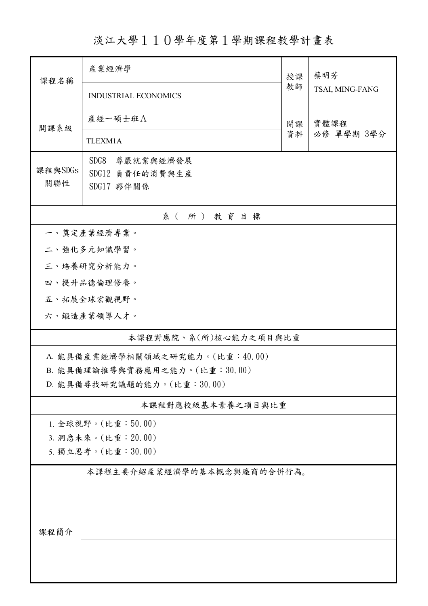淡江大學110學年度第1學期課程教學計畫表

| 課程名稱                                      | 產業經濟學                           |          | 蔡明芳                |  |  |  |  |
|-------------------------------------------|---------------------------------|----------|--------------------|--|--|--|--|
|                                           | INDUSTRIAL ECONOMICS            | 教師       | TSAI, MING-FANG    |  |  |  |  |
| 開課系級                                      | 產經一碩士班A                         | 開課<br>資料 | 實體課程<br>必修 單學期 3學分 |  |  |  |  |
|                                           | TLEXM1A                         |          |                    |  |  |  |  |
| 課程與SDGs                                   | SDG8<br>尊嚴就業與經濟發展               |          |                    |  |  |  |  |
| 關聯性                                       | SDG12 負責任的消費與生產<br>SDG17 夥伴關係   |          |                    |  |  |  |  |
| 系(所)教育目標                                  |                                 |          |                    |  |  |  |  |
|                                           | 一、奠定產業經濟專業。                     |          |                    |  |  |  |  |
|                                           | 二、強化多元知識學習。                     |          |                    |  |  |  |  |
|                                           | 三、培養研究分析能力。                     |          |                    |  |  |  |  |
|                                           | 四、提升品德倫理修養。                     |          |                    |  |  |  |  |
|                                           | 五、拓展全球宏觀視野。                     |          |                    |  |  |  |  |
|                                           | 六、鍛造產業領導人才。                     |          |                    |  |  |  |  |
|                                           | 本課程對應院、系(所)核心能力之項目與比重           |          |                    |  |  |  |  |
|                                           | A. 能具備產業經濟學相關領域之研究能力。(比重:40.00) |          |                    |  |  |  |  |
| B. 能具備理論推導與實務應用之能力。(比重:30.00)             |                                 |          |                    |  |  |  |  |
| D. 能具備尋找研究議題的能力。(比重:30.00)                |                                 |          |                    |  |  |  |  |
|                                           | 本課程對應校級基本素養之項目與比重               |          |                    |  |  |  |  |
| 1. 全球視野。(比重:50.00)                        |                                 |          |                    |  |  |  |  |
| 3. 洞悉未來。(比重: 20.00)<br>5. 獨立思考。(比重:30.00) |                                 |          |                    |  |  |  |  |
|                                           | 本課程主要介紹產業經濟學的基本概念與廠商的合併行為。      |          |                    |  |  |  |  |
|                                           |                                 |          |                    |  |  |  |  |
|                                           |                                 |          |                    |  |  |  |  |
|                                           |                                 |          |                    |  |  |  |  |
| 课程简介                                      |                                 |          |                    |  |  |  |  |
|                                           |                                 |          |                    |  |  |  |  |
|                                           |                                 |          |                    |  |  |  |  |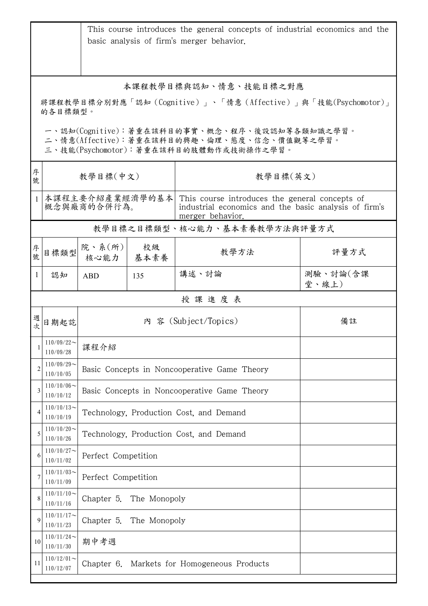|                                                                                                                                        |                                | This course introduces the general concepts of industrial economics and the<br>basic analysis of firm's merger behavior. |            |                                                                                                                             |                   |  |  |  |
|----------------------------------------------------------------------------------------------------------------------------------------|--------------------------------|--------------------------------------------------------------------------------------------------------------------------|------------|-----------------------------------------------------------------------------------------------------------------------------|-------------------|--|--|--|
|                                                                                                                                        | 本課程教學目標與認知、情意、技能目標之對應          |                                                                                                                          |            |                                                                                                                             |                   |  |  |  |
| 將課程教學目標分別對應「認知 (Cognitive)」、「情意 (Affective)」與「技能(Psychomotor)」<br>的各目標類型。                                                              |                                |                                                                                                                          |            |                                                                                                                             |                   |  |  |  |
| 一、認知(Cognitive):著重在該科目的事實、概念、程序、後設認知等各類知識之學習。<br>二、情意(Affective):著重在該科目的興趣、倫理、態度、信念、價值觀等之學習。<br>三、技能(Psychomotor):著重在該科目的肢體動作或技術操作之學習。 |                                |                                                                                                                          |            |                                                                                                                             |                   |  |  |  |
| 序<br>號                                                                                                                                 | 教學目標(中文)                       |                                                                                                                          |            | 教學目標(英文)                                                                                                                    |                   |  |  |  |
| $\mathbf{1}$                                                                                                                           | 本課程主要介紹產業經濟學的基本<br>概念與廠商的合併行為。 |                                                                                                                          |            | This course introduces the general concepts of<br>industrial economics and the basic analysis of firm's<br>merger behavior. |                   |  |  |  |
|                                                                                                                                        |                                |                                                                                                                          |            | 教學目標之目標類型、核心能力、基本素養教學方法與評量方式                                                                                                |                   |  |  |  |
| 序號                                                                                                                                     | 目標類型                           | 院、系(所)<br>核心能力                                                                                                           | 校級<br>基本素養 | 教學方法                                                                                                                        | 評量方式              |  |  |  |
| 1                                                                                                                                      | 認知                             | ABD                                                                                                                      | 135        | 講述、討論                                                                                                                       | 測驗、討論(含課<br>堂、線上) |  |  |  |
|                                                                                                                                        | 授課進度表                          |                                                                                                                          |            |                                                                                                                             |                   |  |  |  |
| 週<br>女                                                                                                                                 | 日期起訖                           | 內 容 (Subject/Topics)<br>備註                                                                                               |            |                                                                                                                             |                   |  |  |  |
| 1                                                                                                                                      | $110/09/22$ ~<br>110/09/28     | 課程介紹                                                                                                                     |            |                                                                                                                             |                   |  |  |  |
| $\overline{2}$                                                                                                                         | $110/09/29$ ~<br>110/10/05     | Basic Concepts in Noncooperative Game Theory                                                                             |            |                                                                                                                             |                   |  |  |  |
| 3                                                                                                                                      | $110/10/06$ ~<br>110/10/12     | Basic Concepts in Noncooperative Game Theory                                                                             |            |                                                                                                                             |                   |  |  |  |
| 4                                                                                                                                      | $110/10/13$ ~<br>110/10/19     | Technology, Production Cost, and Demand                                                                                  |            |                                                                                                                             |                   |  |  |  |
| 5                                                                                                                                      | $110/10/20$ ~<br>110/10/26     | Technology, Production Cost, and Demand                                                                                  |            |                                                                                                                             |                   |  |  |  |
| 6                                                                                                                                      | $110/10/27$ ~<br>110/11/02     | Perfect Competition                                                                                                      |            |                                                                                                                             |                   |  |  |  |
| 7                                                                                                                                      | $110/11/03$ ~<br>110/11/09     | Perfect Competition                                                                                                      |            |                                                                                                                             |                   |  |  |  |
| 8                                                                                                                                      | $110/11/10$ ~<br>110/11/16     | Chapter 5.<br>The Monopoly                                                                                               |            |                                                                                                                             |                   |  |  |  |
| 9                                                                                                                                      | $110/11/17$ ~<br>110/11/23     | Chapter 5.<br>The Monopoly                                                                                               |            |                                                                                                                             |                   |  |  |  |
| 10                                                                                                                                     | $110/11/24$ ~<br>110/11/30     | 期中考週                                                                                                                     |            |                                                                                                                             |                   |  |  |  |
| 11                                                                                                                                     | $110/12/01$ ~<br>110/12/07     | Markets for Homogeneous Products<br>Chapter 6.                                                                           |            |                                                                                                                             |                   |  |  |  |